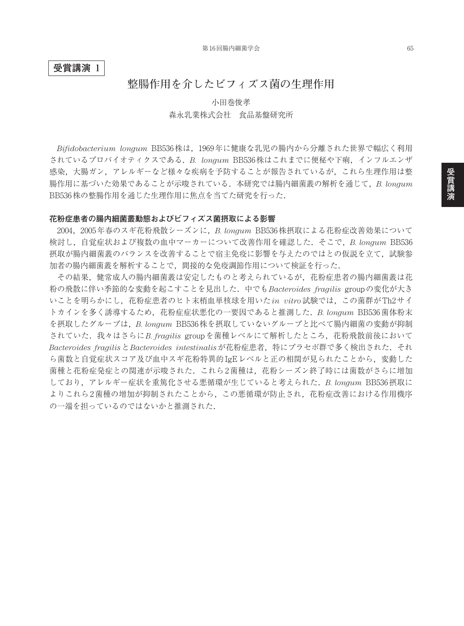## **受賞講演 1**

# **整腸作用を介したビフィズス菌の生理作用**

小田巻俊孝 森永乳業株式会社 食品基盤研究所

*Bifidobacterium longum* BB536株は,1969年に健康な乳児の腸内から分離された世界で幅広く利用 されているプロバイオティクスである.*B. longum* BB536株はこれまでに便秘や下痢,インフルエンザ 感染,大腸ガン,アレルギーなど様々な疾病を予防することが報告されているが,これら生理作用は整 腸作用に基づいた効果であることが示唆されている.本研究では腸内細菌叢の解析を通じて,*B. longum* BB536株の整腸作用を通じた生理作用に焦点を当てた研究を行った.

#### **花粉症患者の腸内細菌叢動態およびビフィズス菌摂取による影響**

2004,2005年春のスギ花粉飛散シーズンに,*B. longum* BB536株摂取による花粉症改善効果について 検討し,自覚症状および複数の血中マーカーについて改善作用を確認した.そこで,*B. longum* BB536 摂取が腸内細菌叢のバランスを改善することで宿主免疫に影響を与えたのではとの仮説を立て、試験参 加者の腸内細菌叢を解析することで,間接的な免疫調節作用について検証を行った.

その結果,健常成人の腸内細菌叢は安定したものと考えられているが,花粉症患者の腸内細菌叢は花 粉の飛散に伴い季節的な変動を起こすことを見出した.中でも*Bacteroides fragilis* groupの変化が大き いことを明らかにし,花粉症患者のヒト末梢血単核球を用いた*in vitro*試験では,この菌群がTh2サイ トカインを多く誘導するため,花粉症症状悪化の一要因であると推測した.*B. longum* BB536菌体粉末 を摂取したグループは,*B. longum* BB536株を摂取していないグループと比べて腸内細菌の変動が抑制 されていた.我々はさらに*B. fragilis* groupを菌種レベルにて解析したところ,花粉飛散前後において *Bacteroides fragilis*と*Bacteroides intestinalis*が花粉症患者,特にプラセボ群で多く検出された.それ ら菌数と自覚症状スコア及び血中スギ花粉特異的IgEレベルと正の相関が見られたことから、変動した 菌種と花粉症発症との関連が示唆された.これら2菌種は,花粉シーズン終了時には菌数がさらに増加 しており,アレルギー症状を重篤化させる悪循環が生じていると考えられた.*B. longum* BB536摂取に よりこれら2菌種の増加が抑制されたことから,この悪循環が防止され,花粉症改善における作用機序 の一端を担っているのではないかと推測された.